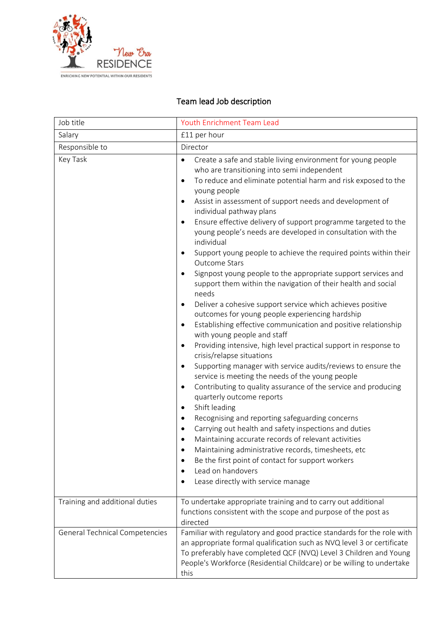

## Team lead Job description

| Job title                             | Youth Enrichment Team Lead                                                                                                                                                                                                                                                                                                                                                                                                                                                                                                                                                                                                                                                                                                                                                                                                                                                                                                                                                                                                                                                                                                                                                                                                                                                                                                                                                                                                                                                                                                                                                                                                                                                                                                                                               |
|---------------------------------------|--------------------------------------------------------------------------------------------------------------------------------------------------------------------------------------------------------------------------------------------------------------------------------------------------------------------------------------------------------------------------------------------------------------------------------------------------------------------------------------------------------------------------------------------------------------------------------------------------------------------------------------------------------------------------------------------------------------------------------------------------------------------------------------------------------------------------------------------------------------------------------------------------------------------------------------------------------------------------------------------------------------------------------------------------------------------------------------------------------------------------------------------------------------------------------------------------------------------------------------------------------------------------------------------------------------------------------------------------------------------------------------------------------------------------------------------------------------------------------------------------------------------------------------------------------------------------------------------------------------------------------------------------------------------------------------------------------------------------------------------------------------------------|
| Salary                                | £11 per hour                                                                                                                                                                                                                                                                                                                                                                                                                                                                                                                                                                                                                                                                                                                                                                                                                                                                                                                                                                                                                                                                                                                                                                                                                                                                                                                                                                                                                                                                                                                                                                                                                                                                                                                                                             |
| Responsible to                        | Director                                                                                                                                                                                                                                                                                                                                                                                                                                                                                                                                                                                                                                                                                                                                                                                                                                                                                                                                                                                                                                                                                                                                                                                                                                                                                                                                                                                                                                                                                                                                                                                                                                                                                                                                                                 |
| Key Task                              | Create a safe and stable living environment for young people<br>$\bullet$<br>who are transitioning into semi independent<br>To reduce and eliminate potential harm and risk exposed to the<br>$\bullet$<br>young people<br>Assist in assessment of support needs and development of<br>$\bullet$<br>individual pathway plans<br>Ensure effective delivery of support programme targeted to the<br>$\bullet$<br>young people's needs are developed in consultation with the<br>individual<br>Support young people to achieve the required points within their<br>$\bullet$<br>Outcome Stars<br>Signpost young people to the appropriate support services and<br>$\bullet$<br>support them within the navigation of their health and social<br>needs<br>Deliver a cohesive support service which achieves positive<br>$\bullet$<br>outcomes for young people experiencing hardship<br>Establishing effective communication and positive relationship<br>$\bullet$<br>with young people and staff<br>Providing intensive, high level practical support in response to<br>$\bullet$<br>crisis/relapse situations<br>Supporting manager with service audits/reviews to ensure the<br>$\bullet$<br>service is meeting the needs of the young people<br>Contributing to quality assurance of the service and producing<br>$\bullet$<br>quarterly outcome reports<br>Shift leading<br>$\bullet$<br>Recognising and reporting safeguarding concerns<br>$\bullet$<br>Carrying out health and safety inspections and duties<br>$\bullet$<br>Maintaining accurate records of relevant activities<br>Maintaining administrative records, timesheets, etc<br>Be the first point of contact for support workers<br>$\bullet$<br>Lead on handovers<br>Lease directly with service manage |
| Training and additional duties        | To undertake appropriate training and to carry out additional<br>functions consistent with the scope and purpose of the post as<br>directed                                                                                                                                                                                                                                                                                                                                                                                                                                                                                                                                                                                                                                                                                                                                                                                                                                                                                                                                                                                                                                                                                                                                                                                                                                                                                                                                                                                                                                                                                                                                                                                                                              |
| <b>General Technical Competencies</b> | Familiar with regulatory and good practice standards for the role with<br>an appropriate formal qualification such as NVQ level 3 or certificate<br>To preferably have completed QCF (NVQ) Level 3 Children and Young<br>People's Workforce (Residential Childcare) or be willing to undertake<br>this                                                                                                                                                                                                                                                                                                                                                                                                                                                                                                                                                                                                                                                                                                                                                                                                                                                                                                                                                                                                                                                                                                                                                                                                                                                                                                                                                                                                                                                                   |